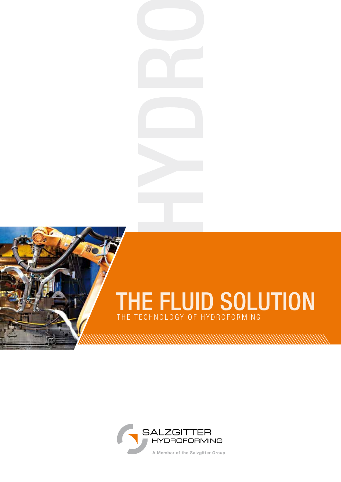## THE FLUID SOLUTION THE TECHNOLOGY OF HYDROFORMING

<u> 1999 - Johann Harry Harry Harry Harry Harry Harry Harry Harry Harry Harry Harry Harry Harry Harry Harry Harry</u>

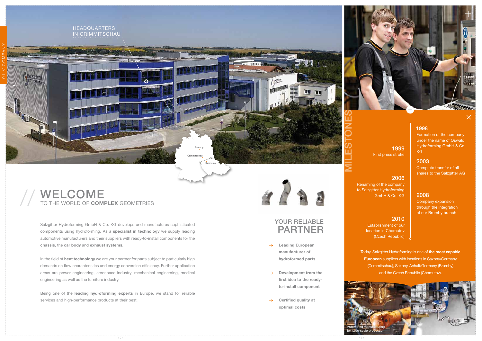

Salzgitter Hydroforming GmbH & Co. KG develops and manufactures sophisticated components using hydroforming. As a **specialist in technology** we supply leading automotive manufacturers and their suppliers with ready-to-install components for the **chassis**, the **car body** and **exhaust systems.**

**1999**  $\left| \begin{array}{c} Hyd \\ kG \end{array} \right|$ First press stroke

In the field of **heat technology** we are your partner for parts subject to particularly high demands on flow characteristics and energy conversion efficiency. Further application areas are power engineering, aerospace industry, mechanical engineering, medical engineering as well as the furniture industry.

Renaming of the company to Salzgitter Hydroforming GmbH & Co.  $KG$  2008

#### YOUR RELIABLE PARTNER

Being one of the **leading hydroforming experts** in Europe, we stand for reliable services and high-performance products at their best.

# 

#### 1998



## WELCOME <sup>10</sup> TO THE WORLD OF **COMPLEX** GEOMETRIES

Formation of the company under the name of Oswald Hydroforming GmbH & Co.

2003

Complete transfer of all shares to the Salzgitter AG

#### 2006

Company expansion through the integration of our Brumby branch

#### 2010

Establishment of our location in Chomutov (Czech Republic)

- **Leading European manufacturer of hydroformed parts**
- $\rightarrow$ **Development from the first idea to the readyto-install component**
- **Certified quality at**   $\rightarrow$ **optimal costs**



Today, Salzgitter Hydroforming is one of **the most capable European** suppliers with locations in Saxony/Germany (Crimmitschau), Saxony-Anhalt/Germany (Brumby) and the Czech Republic (Chomutov).

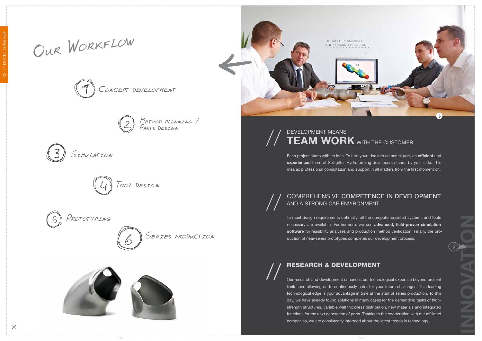**INNOVATION**

Each project starts with an idea. To turn your idea into an actual part, an **efficient** and **experienced** team of Salzgitter Hydroforming developers stands by your side. This means: professional consultation and support in all matters from the first moment on.

Our research and development enhances our technological expertise beyond present limitations allowing us to continuously cater for your future challenges. This leading technological edge is your advantage in time at the start of series production. To this day, we have already found solutions in many cases for the demanding tasks of highstrength structures, variable wall thickness distribution, new materials and integrated functions for the next generation of parts. Thanks to the cooperation with our affiliated companies, we are consistently informed about the latest trends in technology.

#### DEVELOPMENT MEANS **TEAM WORK** WITH THE C //

### RESEARCH & DEVELOPMENT //

#### COMPREHENSIVE COMPETENCE IN DEVELOPMENT AND A STRONG CAE ENVIRONMENT //

To meet design requirements optimally, all the computer-assisted systems and tools necessary are available. Furthermore, we use **advanced, field-proven simulation software** for feasibility analyses and production method verification. Finally, the production of near-series prototypes completes our development process.



















 $\times$ 

OUR WORKFLOW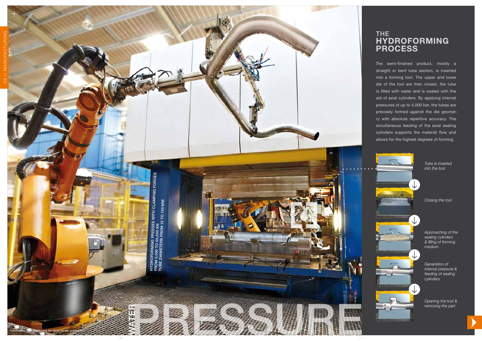#### The **Hydro forming Process**

The semi-finished product, mostly a straight or bent tube section, is inserted into a forming tool. The upper and lower die of the tool are then closed, the tube is filled with water and is sealed with the aid of axial cylinders. By applying internal pressures of up to 4,000 bar, the tubes are precisely formed against the die geomet ry with absolute repetitive accuracy. The simultaneous feeding of the axial sealing cylinders supports the material flow and allows for the highest degrees of forming.



*Tube is inserted into the tool*

*Closing the tool*

*Approaching of the sealing cylinders & filling of forming medium*

*Generation of internal pressure & feeding of sealing cylinders*

*Opening the tool & removing the part*

Automated manufacturing for large-scale production

 $\lambda$  6 \  $\lambda$  / 7 / 7 / 7  $\lambda$  / 6 \  $\lambda$  / 7  $\lambda$  / 6 \  $\lambda$  / 7  $\lambda$  / 7  $\lambda$  / 7  $\lambda$  / 7  $\lambda$  / 7  $\lambda$  / 7  $\lambda$  / 7  $\lambda$  / 7  $\lambda$  / 7  $\lambda$  / 7  $\lambda$  / 7  $\lambda$  / 7  $\lambda$  / 7  $\lambda$  / 7  $\lambda$  / 7  $\lambda$  / 7  $\lambda$  / 7  $\lambda$  / 7  $\$ PRESSURE AND A COMMUNIST



HYDROFORMING PRESSES WITH CLAMPING FORCES<br>FROM 5,000 TO 50,000 KN<br>TUBE DIAMETERS FROM 15 TO 150 MM HYDROFORMING PRESSES WITH CLAMPING FORCES<br>FROM 5,000 TO 50,000 KN<br>TUBE DIAMETERS FROM 15 TO 150 MM

WANG BERKA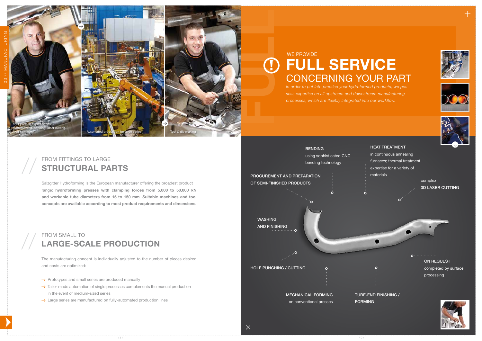





*In order to put into practice your hydroformed products, we possess expertise on all upstream and downstream manufacturing processes, which are flexibly integrated into our workflow.*

#### FROM FITTINGS TO LARGE **STRUCTURAL PARTS**

Salzgitter Hydroforming is the European manufacturer offering the broadest product range: **hydroforming presses with clamping forces from 5,000 to 50,000 kN and workable tube diameters from 15 to 150 mm. Suitable machines and tool concepts are available according to most product requirements and dimensions.**

# WE PROVIDE<br> **FULL SERVICE**<br>
CONCERNING YOUR PA<br>
In order to put into practice your hydroformed products, w<br>
sess expertise on all upstream and downstream manufact.<br>
processes, which are flexibly integrated into our workflo CONCERNING YOUR PART WE PROVIDE

//

#### FROM SMALL TO **LARGE-SCALE PRODUCTION**

The manufacturing concept is individually adjusted to the number of pieces desired and costs are optimized:

- $\rightarrow$  Prototypes and small series are produced manually
- $\rightarrow$  Tailor-made automation of single processes complements the manual production in the event of medium-sized series
- $\rightarrow$  Large series are manufactured on fully-automated production lines

//



complex 3D LASER CUTTING



ON REQUEST completed by surface processing

 $0$ ..................





#### HEAT TREATMENT

in continuous annealing furnaces; thermal treatment expertise for a variety of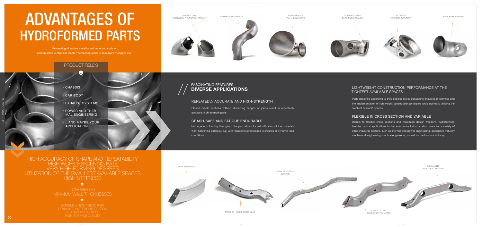#### REPEATEDLY ACCURATE AND HIGH-STRENGTH

Closed profile sections without disturbing flanges or joints result in repeatedly accurate, high-strength parts.

#### CRASH-SAFE AND FATIGUE ENDURABLE

## // FASCINATING FEATURES,<br>// DIVERSE APPLICAT **DIVERSE APPLICATIONS**

Homogenous forming throughout the part allows for full utilization of the materials' work hardening potential, e.g. with respect to stress loads in crashes or dynamic load conditions.

...und vielleicht auch ihr

bauteil

FAHRWERK

ABGAS

# ADVANTAGES OF HYDROFORMED PARTS

#### LIGHTWEIGHT CONSTRUCTION PERFORMANCE AT THE TIGHTEST AVAILABLE SPACES

Parts designed according to their specific stress conditions ensure high stiffness and the implementation of lightweight construction principles while optimally utilizing the smallest available spaces.

#### FLEXIBLE IN CROSS SECTION AND VARIABLE

LOW WEIGHT MINIMUM WALL THICKNESSES

 $\bullet$ 

**HIGH SURFACE QUALITY** STREAMLINED SHAPES **EXTREMELY TIGHT BEND RADII** 

 $\bullet$ 



Thanks to flexible cross sections and maximum design freedom, hydroforming, besides typical applications in the automotive industry, also caters for a variety of other industrial sectors, such as thermal and power engineering, aerospace industry, mechanical engineering, medical engineering as well as the furniture industry.

#### PRODUCT FIELDS



EXHAUST SYSTEMS

POWER AND THER- MAL ENGINEERING

 ...AND MAYBE YOUR APPLICATION

Processing of various metal based materials, such as carbon steels // stainless steels // tempering steels // aluminium // copper, etc.

Precise hole positioning







#### HIGH ACCURACY OF SHAPE AND REPEATABILITY HIGH STIFFNESS VERY HIGH FORMING DEGREES HIGH WORK HARDENING RATE UTILIZATION OF THE SMALLEST AVAILABLE SPACES